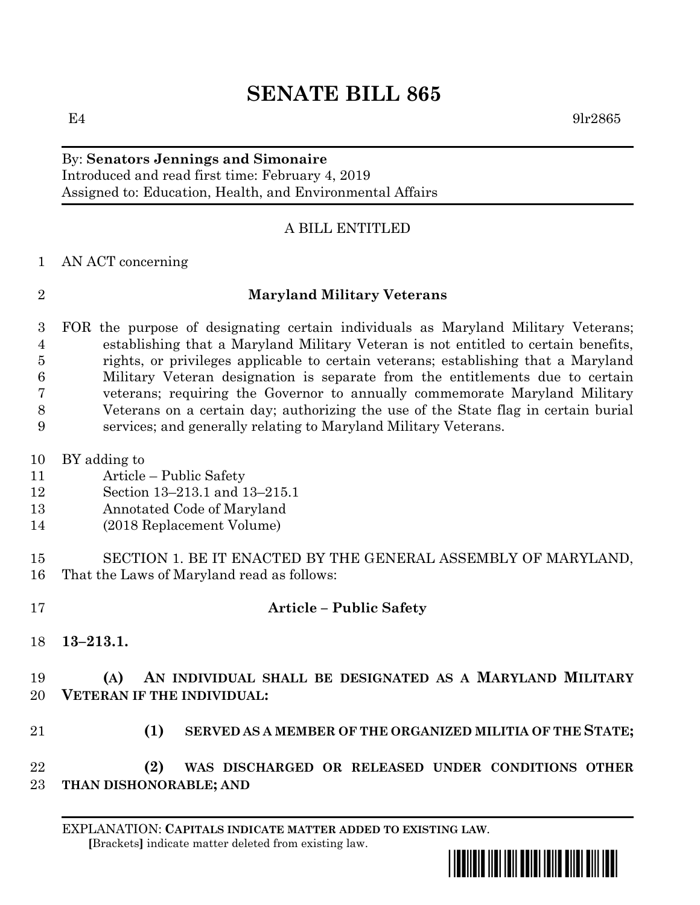# **SENATE BILL 865**

 $E4$  9lr2865

#### By: **Senators Jennings and Simonaire** Introduced and read first time: February 4, 2019 Assigned to: Education, Health, and Environmental Affairs

## A BILL ENTITLED

#### AN ACT concerning

#### **Maryland Military Veterans**

 FOR the purpose of designating certain individuals as Maryland Military Veterans; establishing that a Maryland Military Veteran is not entitled to certain benefits, rights, or privileges applicable to certain veterans; establishing that a Maryland Military Veteran designation is separate from the entitlements due to certain veterans; requiring the Governor to annually commemorate Maryland Military Veterans on a certain day; authorizing the use of the State flag in certain burial services; and generally relating to Maryland Military Veterans.

- BY adding to
- Article Public Safety
- Section 13–213.1 and 13–215.1
- Annotated Code of Maryland
- (2018 Replacement Volume)

 SECTION 1. BE IT ENACTED BY THE GENERAL ASSEMBLY OF MARYLAND, That the Laws of Maryland read as follows:

# **Article – Public Safety**

**13–213.1.**

## **(A) AN INDIVIDUAL SHALL BE DESIGNATED AS A MARYLAND MILITARY VETERAN IF THE INDIVIDUAL:**

**(1) SERVED AS A MEMBER OF THE ORGANIZED MILITIA OF THE STATE;**

 **(2) WAS DISCHARGED OR RELEASED UNDER CONDITIONS OTHER THAN DISHONORABLE; AND**

EXPLANATION: **CAPITALS INDICATE MATTER ADDED TO EXISTING LAW**.  **[**Brackets**]** indicate matter deleted from existing law.